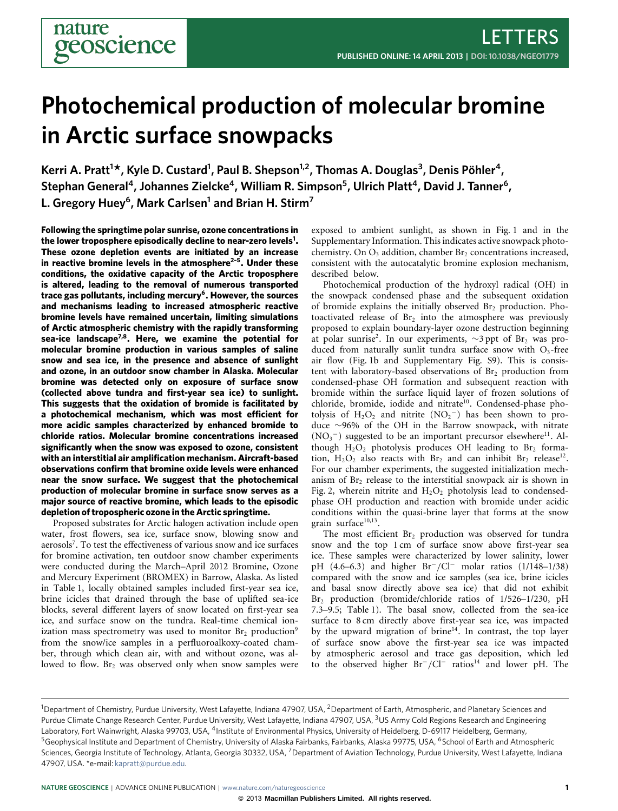# **Photochemical production of molecular bromine in Arctic surface snowpacks**

**Kerri A. Pratt<sup>1</sup> \*, Kyle D. Custard<sup>1</sup> , Paul B. Shepson1,2, Thomas A. Douglas<sup>3</sup> , Denis Pöhler<sup>4</sup> , Stephan General<sup>4</sup> , Johannes Zielcke<sup>4</sup> , William R. Simpson<sup>5</sup> , Ulrich Platt<sup>4</sup> , David J. Tanner<sup>6</sup> , L. Gregory Huey<sup>6</sup> , Mark Carlsen<sup>1</sup> and Brian H. Stirm<sup>7</sup>**

**Following the springtime polar sunrise, ozone concentrations in the lower troposphere episodically decline to near-zero levels[1](#page-4-0) . These ozone depletion events are initiated by an increase in reactive bromine levels in the atmosphere[2–](#page-4-1)[5](#page-4-2). Under these conditions, the oxidative capacity of the Arctic troposphere is altered, leading to the removal of numerous transported trace gas pollutants, including mercury[6](#page-4-3) . However, the sources and mechanisms leading to increased atmospheric reactive bromine levels have remained uncertain, limiting simulations of Arctic atmospheric chemistry with the rapidly transforming sea-ice landscape[7,](#page-4-4)[8](#page-4-5). Here, we examine the potential for molecular bromine production in various samples of saline snow and sea ice, in the presence and absence of sunlight and ozone, in an outdoor snow chamber in Alaska. Molecular bromine was detected only on exposure of surface snow (collected above tundra and first-year sea ice) to sunlight. This suggests that the oxidation of bromide is facilitated by a photochemical mechanism, which was most efficient for more acidic samples characterized by enhanced bromide to chloride ratios. Molecular bromine concentrations increased significantly when the snow was exposed to ozone, consistent with an interstitial air amplification mechanism. Aircraft-based observations confirm that bromine oxide levels were enhanced near the snow surface. We suggest that the photochemical production of molecular bromine in surface snow serves as a major source of reactive bromine, which leads to the episodic depletion of tropospheric ozone in the Arctic springtime.**

Proposed substrates for Arctic halogen activation include open water, frost flowers, sea ice, surface snow, blowing snow and aerosols<sup>[7](#page-4-4)</sup>. To test the effectiveness of various snow and ice surfaces for bromine activation, ten outdoor snow chamber experiments were conducted during the March–April 2012 Bromine, Ozone and Mercury Experiment (BROMEX) in Barrow, Alaska. As listed in [Table 1,](#page-1-0) locally obtained samples included first-year sea ice, brine icicles that drained through the base of uplifted sea-ice blocks, several different layers of snow located on first-year sea ice, and surface snow on the tundra. Real-time chemical ionization mass spectrometry was used to monitor  $Br<sub>2</sub>$  production<sup>[9](#page-4-6)</sup> from the snow/ice samples in a perfluoroalkoxy-coated chamber, through which clean air, with and without ozone, was allowed to flow.  $Br<sub>2</sub>$  was observed only when snow samples were

exposed to ambient sunlight, as shown in [Fig. 1](#page-1-1) and in the Supplementary Information. This indicates active snowpack photochemistry. On O<sub>3</sub> addition, chamber Br<sub>2</sub> concentrations increased, consistent with the autocatalytic bromine explosion mechanism, described below.

Photochemical production of the hydroxyl radical (OH) in the snowpack condensed phase and the subsequent oxidation of bromide explains the initially observed  $Br<sub>2</sub>$  production. Photoactivated release of  $Br<sub>2</sub>$  into the atmosphere was previously proposed to explain boundary-layer ozone destruction beginning at polar sunrise<sup>[2](#page-4-1)</sup>. In our experiments,  $\sim$ 3 ppt of Br<sub>2</sub> was produced from naturally sunlit tundra surface snow with  $O_3$ -free air flow [\(Fig. 1b](#page-1-1) and Supplementary Fig. S9). This is consistent with laboratory-based observations of Br<sub>2</sub> production from condensed-phase OH formation and subsequent reaction with bromide within the surface liquid layer of frozen solutions of chloride, bromide, iodide and nitrate<sup>[10](#page-4-7)</sup>. Condensed-phase photolysis of  $H_2O_2$  and nitrite  $(NO_2^-)$  has been shown to produce ∼96% of the OH in the Barrow snowpack, with nitrate (NO<sub>3</sub><sup>-</sup>) suggested to be an important precursor elsewhere<sup>[11](#page-4-8)</sup>. Although  $H_2O_2$  photolysis produces OH leading to Br<sub>2</sub> formation,  $H_2O_2$  also reacts with  $Br_2$  and can inhibit  $Br_2$  release<sup>[12](#page-4-9)</sup>. For our chamber experiments, the suggested initialization mechanism of  $Br<sub>2</sub>$  release to the interstitial snowpack air is shown in [Fig. 2,](#page-2-0) wherein nitrite and  $H_2O_2$  photolysis lead to condensedphase OH production and reaction with bromide under acidic conditions within the quasi-brine layer that forms at the snow grain surface<sup>[10](#page-4-7)[,13](#page-4-10)</sup>.

The most efficient  $Br<sub>2</sub>$  production was observed for tundra snow and the top 1 cm of surface snow above first-year sea ice. These samples were characterized by lower salinity, lower pH (4.6–6.3) and higher Br<sup>−</sup>/Cl<sup>−</sup> molar ratios (1/148–1/38) compared with the snow and ice samples (sea ice, brine icicles and basal snow directly above sea ice) that did not exhibit Br<sub>2</sub> production (bromide/chloride ratios of 1/526–1/230, pH 7.3–9.5; [Table 1\)](#page-1-0). The basal snow, collected from the sea-ice surface to 8 cm directly above first-year sea ice, was impacted by the upward migration of brine $14$ . In contrast, the top layer of surface snow above the first-year sea ice was impacted by atmospheric aerosol and trace gas deposition, which led to the observed higher Br<sup>−</sup>/Cl<sup>−</sup> ratios[14](#page-4-11) and lower pH. The

<sup>&</sup>lt;sup>1</sup>Department of Chemistry, Purdue University, West Lafayette, Indiana 47907, USA, <sup>2</sup>Department of Earth, Atmospheric, and Planetary Sciences and Purdue Climate Change Research Center, Purdue University, West Lafayette, Indiana 47907, USA, <sup>3</sup>US Army Cold Regions Research and Engineering Laboratory, Fort Wainwright, Alaska 99703, USA, <sup>4</sup>Institute of Environmental Physics, University of Heidelberg, D-69117 Heidelberg, Germany, <sup>5</sup>Geophysical Institute and Department of Chemistry, University of Alaska Fairbanks, Fairbanks, Alaska 99775, USA, <sup>6</sup>School of Earth and Atmospheric Sciences, Georgia Institute of Technology, Atlanta, Georgia 30332, USA, <sup>7</sup>Department of Aviation Technology, Purdue University, West Lafayette, Indiana 47907, USA. \*e-mail: [kapratt@purdue.edu.](mailto:kapratt@purdue.edu)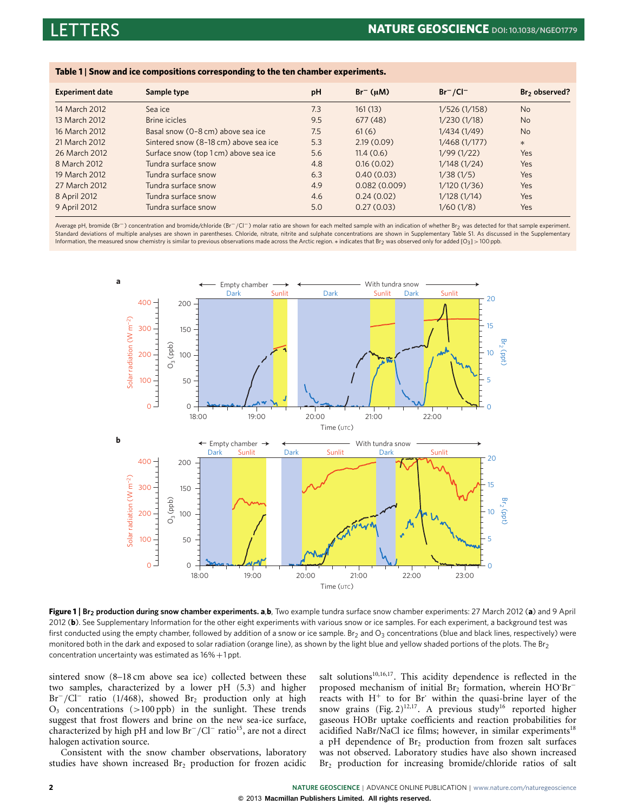<span id="page-1-0"></span>**Table 1** | **Snow and ice compositions corresponding to the ten chamber experiments.**

| <b>Experiment date</b> | Sample type                           | рH  | $Br^{-}(\mu M)$ | $Br^-/Cl^-$  | Br <sub>2</sub> observed? |
|------------------------|---------------------------------------|-----|-----------------|--------------|---------------------------|
| 14 March 2012          | Sea ice                               | 7.3 | 161(13)         | 1/526(1/158) | <b>No</b>                 |
| 13 March 2012          | Brine icicles                         | 9.5 | 677(48)         | 1/230(1/18)  | <b>No</b>                 |
| 16 March 2012          | Basal snow (0-8 cm) above sea ice     | 7.5 | 61(6)           | 1/434 (1/49) | <b>No</b>                 |
| 21 March 2012          | Sintered snow (8-18 cm) above sea ice | 5.3 | 2.19(0.09)      | 1/468(1/177) | $\ast$                    |
| 26 March 2012          | Surface snow (top 1cm) above sea ice  | 5.6 | 11.4(0.6)       | 1/99(1/22)   | Yes                       |
| 8 March 2012           | Tundra surface snow                   | 4.8 | 0.16(0.02)      | 1/148(1/24)  | Yes                       |
| 19 March 2012          | Tundra surface snow                   | 6.3 | 0.40(0.03)      | 1/38(1/5)    | Yes                       |
| 27 March 2012          | Tundra surface snow                   | 4.9 | 0.082(0.009)    | 1/120(1/36)  | Yes                       |
| 8 April 2012           | Tundra surface snow                   | 4.6 | 0.24(0.02)      | 1/128(1/14)  | Yes                       |
| 9 April 2012           | Tundra surface snow                   | 5.0 | 0.27(0.03)      | 1/60(1/8)    | Yes                       |

Average pH, bromide (Br<sup>−</sup>) concentration and bromide/chloride (Br<sup>−</sup>/Cl<sup>−</sup>) molar ratio are shown for each melted sample with an indication of whether Br<sub>2</sub> was detected for that sample experiment. Standard deviations of multiple analyses are shown in parentheses. Chloride, nitrate, nitrite and sulphate concentrations are shown in Supplementary Table S1. As discussed in the Supplementary Information, the measured snow chemistry is similar to previous observations made across the Arctic region. ∗ indicates that Br<sup>2</sup> was observed only for added [O3] > 100 ppb.



<span id="page-1-1"></span>**Figure 1** | **Br<sup>2</sup> production during snow chamber experiments. a**,**b**, Two example tundra surface snow chamber experiments: 27 March 2012 (**a**) and 9 April 2012 (**b**). See Supplementary Information for the other eight experiments with various snow or ice samples. For each experiment, a background test was first conducted using the empty chamber, followed by addition of a snow or ice sample. Br<sub>2</sub> and O<sub>3</sub> concentrations (blue and black lines, respectively) were monitored both in the dark and exposed to solar radiation (orange line), as shown by the light blue and yellow shaded portions of the plots. The Br<sub>2</sub> concentration uncertainty was estimated as  $16\% + 1$  ppt.

sintered snow (8–18 cm above sea ice) collected between these two samples, characterized by a lower pH (5.3) and higher Br<sup>-</sup>/Cl<sup>-</sup> ratio (1/468), showed Br<sub>2</sub> production only at high  $O<sub>3</sub>$  concentrations (>100 ppb) in the sunlight. These trends suggest that frost flowers and brine on the new sea-ice surface, characterized by high pH and low Br<sup>−</sup>/Cl<sup>−</sup> ratio[15](#page-4-12), are not a direct halogen activation source.

Consistent with the snow chamber observations, laboratory studies have shown increased  $Br<sub>2</sub>$  production for frozen acidic salt solutions<sup>[10,](#page-4-7)[16](#page-4-13)[,17](#page-4-14)</sup>. This acidity dependence is reflected in the proposed mechanism of initial Br<sub>2</sub> formation, wherein HO<sup>·Br</sub>−</sup> reacts with  $H^{+}$  to for Br within the quasi-brine layer of the snow grains [\(Fig. 2\)](#page-2-0)<sup>[12](#page-4-9)[,17](#page-4-14)</sup>. A previous study<sup>[16](#page-4-13)</sup> reported higher gaseous HOBr uptake coefficients and reaction probabilities for acidified NaBr/NaCl ice films; however, in similar experiments<sup>[18](#page-4-15)</sup> a pH dependence of  $Br<sub>2</sub>$  production from frozen salt surfaces was not observed. Laboratory studies have also shown increased Br<sub>2</sub> production for increasing bromide/chloride ratios of salt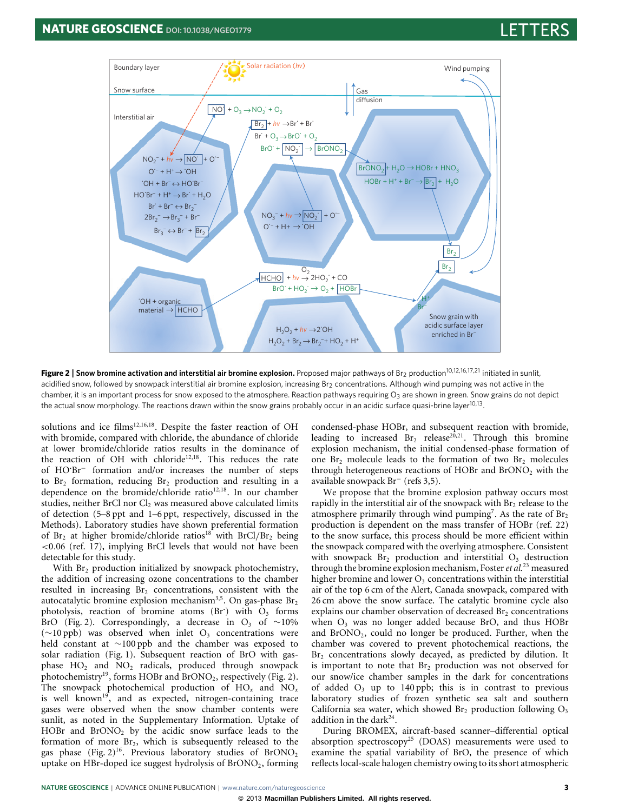

<span id="page-2-0"></span>**Figure 2** | Snow bromine activation and interstitial air bromine explosion. Proposed major pathways of Br<sub>2</sub> production<sup>[10,](#page-4-7)[12](#page-4-9)[,16,](#page-4-13)[17](#page-4-14)[,21](#page-4-16)</sup> initiated in sunlit, acidified snow, followed by snowpack interstitial air bromine explosion, increasing Br<sub>2</sub> concentrations. Although wind pumping was not active in the chamber, it is an important process for snow exposed to the atmosphere. Reaction pathways requiring O<sub>3</sub> are shown in green. Snow grains do not depict the actual snow morphology. The reactions drawn within the snow grains probably occur in an acidic surface quasi-brine layer $^{10,13}$  $^{10,13}$  $^{10,13}$  $^{10,13}$ .

solutions and ice films<sup>[12,](#page-4-9)[16](#page-4-13)[,18](#page-4-15)</sup>. Despite the faster reaction of OH with bromide, compared with chloride, the abundance of chloride at lower bromide/chloride ratios results in the dominance of the reaction of OH with chloride<sup>[12,](#page-4-9)[18](#page-4-15)</sup>. This reduces the rate of HO·Br<sup>−</sup> formation and/or increases the number of steps to  $Br<sub>2</sub>$  formation, reducing  $Br<sub>2</sub>$  production and resulting in a dependence on the bromide/chloride ratio<sup>[12,](#page-4-9)[18](#page-4-15)</sup>. In our chamber studies, neither BrCl nor  $Cl<sub>2</sub>$  was measured above calculated limits of detection (5–8 ppt and 1–6 ppt, respectively, discussed in the Methods). Laboratory studies have shown preferential formation of  $Br_2$  at higher bromide/chloride ratios<sup>[18](#page-4-15)</sup> with BrCl/Br<sub>2</sub> being <0.06 (ref. [17\)](#page-4-14), implying BrCl levels that would not have been detectable for this study.

With  $Br<sub>2</sub>$  production initialized by snowpack photochemistry, the addition of increasing ozone concentrations to the chamber resulted in increasing  $Br<sub>2</sub>$  concentrations, consistent with the autocatalytic bromine explosion mechanism<sup>[3,](#page-4-17)[5](#page-4-2)</sup>. On gas-phase  $Br<sub>2</sub>$ photolysis, reaction of bromine atoms (Br) with  $O_3$  forms BrO [\(Fig. 2\)](#page-2-0). Correspondingly, a decrease in O<sub>3</sub> of ~10% ( $∼10$  ppb) was observed when inlet O<sub>3</sub> concentrations were held constant at ∼100 ppb and the chamber was exposed to solar radiation [\(Fig. 1\)](#page-1-1). Subsequent reaction of BrO with gasphase  $HO_2$  and  $NO_2$  radicals, produced through snowpack photochemistry<sup>[19](#page-4-18)</sup>, forms HOBr and BrONO<sub>2</sub>, respectively [\(Fig. 2\)](#page-2-0). The snowpack photochemical production of HO*<sup>x</sup>* and NO*<sup>x</sup>* is well known<sup>[19](#page-4-18)</sup>, and as expected, nitrogen-containing trace gases were observed when the snow chamber contents were sunlit, as noted in the Supplementary Information. Uptake of HOBr and  $\text{BrONO}_2$  by the acidic snow surface leads to the formation of more  $Br_2$ , which is subsequently released to the gas phase [\(Fig. 2\)](#page-2-0)<sup>[16](#page-4-13)</sup>. Previous laboratory studies of  $\text{BrONO}_2$ uptake on HBr-doped ice suggest hydrolysis of  $BrONO<sub>2</sub>$ , forming

condensed-phase HOBr, and subsequent reaction with bromide, leading to increased  $Br_2$  release<sup>[20](#page-4-19)[,21](#page-4-16)</sup>. Through this bromine explosion mechanism, the initial condensed-phase formation of one  $Br<sub>2</sub>$  molecule leads to the formation of two  $Br<sub>2</sub>$  molecules through heterogeneous reactions of HOBr and  $BrONO<sub>2</sub>$  with the available snowpack Br<sup>−</sup> (refs [3](#page-4-17)[,5\)](#page-4-2).

We propose that the bromine explosion pathway occurs most rapidly in the interstitial air of the snowpack with  $Br<sub>2</sub>$  release to the atmosphere primarily through wind pumping<sup>[7](#page-4-4)</sup>. As the rate of  $Br<sub>2</sub>$ production is dependent on the mass transfer of HOBr (ref. [22\)](#page-4-20) to the snow surface, this process should be more efficient within the snowpack compared with the overlying atmosphere. Consistent with snowpack  $\text{Br}_2$  production and interstitial  $\text{O}_3$  destruction through the bromine explosion mechanism, Foster*et al.*[23](#page-4-21) measured higher bromine and lower  $O_3$  concentrations within the interstitial air of the top 6 cm of the Alert, Canada snowpack, compared with 26 cm above the snow surface. The catalytic bromine cycle also explains our chamber observation of decreased  $Br<sub>2</sub>$  concentrations when  $O_3$  was no longer added because BrO, and thus HOBr and BrONO2, could no longer be produced. Further, when the chamber was covered to prevent photochemical reactions, the Br<sub>2</sub> concentrations slowly decayed, as predicted by dilution. It is important to note that  $Br<sub>2</sub>$  production was not observed for our snow/ice chamber samples in the dark for concentrations of added  $O_3$  up to 140 ppb; this is in contrast to previous laboratory studies of frozen synthetic sea salt and southern California sea water, which showed  $Br<sub>2</sub>$  production following  $O<sub>3</sub>$ addition in the dark<sup>[24](#page-4-22)</sup>.

During BROMEX, aircraft-based scanner–differential optical absorption spectroscopy<sup>[25](#page-4-23)</sup> (DOAS) measurements were used to examine the spatial variability of BrO, the presence of which reflects local-scale halogen chemistry owing to its short atmospheric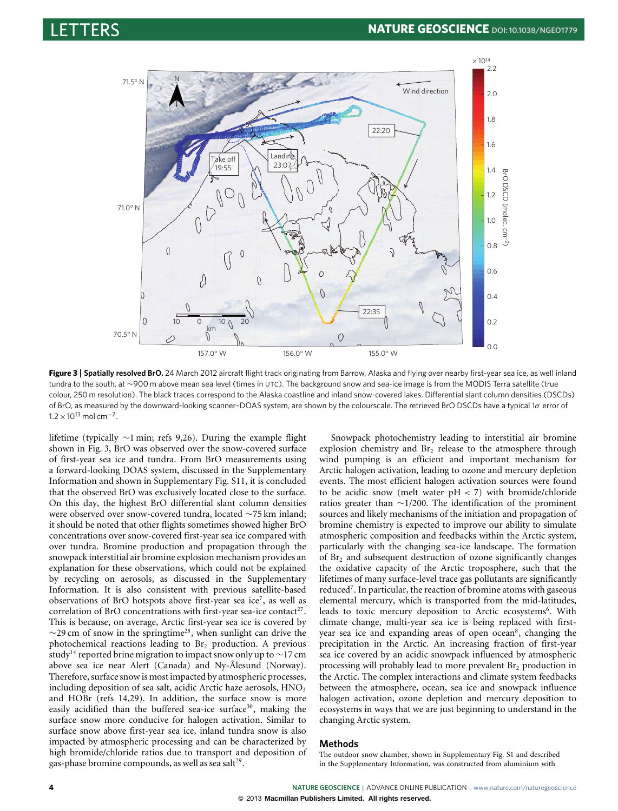



<span id="page-3-0"></span>**Figure 3** | **Spatially resolved BrO.** 24 March 2012 aircraft flight track originating from Barrow, Alaska and flying over nearby first-year sea ice, as well inland tundra to the south, at ∼900 m above mean sea level (times in UTC). The background snow and sea-ice image is from the MODIS Terra satellite (true colour, 250 m resolution). The black traces correspond to the Alaska coastline and inland snow-covered lakes. Differential slant column densities (DSCDs) of BrO, as measured by the downward-looking scanner–DOAS system, are shown by the colourscale. The retrieved BrO DSCDs have a typical 1σ error of  $1.2 \times 10^{13}$  mol cm<sup>-2</sup>.

lifetime (typically ∼1 min; refs [9,](#page-4-6)[26\)](#page-4-24). During the example flight shown in [Fig. 3,](#page-3-0) BrO was observed over the snow-covered surface of first-year sea ice and tundra. From BrO measurements using a forward-looking DOAS system, discussed in the Supplementary Information and shown in Supplementary Fig. S11, it is concluded that the observed BrO was exclusively located close to the surface. On this day, the highest BrO differential slant column densities were observed over snow-covered tundra, located ∼75 km inland; it should be noted that other flights sometimes showed higher BrO concentrations over snow-covered first-year sea ice compared with over tundra. Bromine production and propagation through the snowpack interstitial air bromine explosion mechanism provides an explanation for these observations, which could not be explained by recycling on aerosols, as discussed in the Supplementary Information. It is also consistent with previous satellite-based observations of BrO hotspots above first-year sea ice<sup>[7](#page-4-4)</sup>, as well as correlation of BrO concentrations with first-year sea-ice contact<sup>[27](#page-4-25)</sup>. This is because, on average, Arctic first-year sea ice is covered by  $\sim$ 29 cm of snow in the springtime<sup>[28](#page-4-26)</sup>, when sunlight can drive the photochemical reactions leading to  $Br<sub>2</sub>$  production. A previous study<sup>[14](#page-4-11)</sup> reported brine migration to impact snow only up to ~17 cm above sea ice near Alert (Canada) and Ny-Ålesund (Norway). Therefore, surface snow is most impacted by atmospheric processes, including deposition of sea salt, acidic Arctic haze aerosols, HNO<sub>3</sub> and HOBr (refs [14](#page-4-11)[,29\)](#page-4-27). In addition, the surface snow is more easily acidified than the buffered sea-ice surface<sup>[30](#page-4-28)</sup>, making the surface snow more conducive for halogen activation. Similar to surface snow above first-year sea ice, inland tundra snow is also impacted by atmospheric processing and can be characterized by high bromide/chloride ratios due to transport and deposition of gas-phase bromine compounds, as well as sea salt<sup>[29](#page-4-27)</sup>.

Snowpack photochemistry leading to interstitial air bromine explosion chemistry and  $Br<sub>2</sub>$  release to the atmosphere through wind pumping is an efficient and important mechanism for Arctic halogen activation, leading to ozone and mercury depletion events. The most efficient halogen activation sources were found to be acidic snow (melt water  $pH < 7$ ) with bromide/chloride ratios greater than ∼1/200. The identification of the prominent sources and likely mechanisms of the initiation and propagation of bromine chemistry is expected to improve our ability to simulate atmospheric composition and feedbacks within the Arctic system, particularly with the changing sea-ice landscape. The formation of  $Br<sub>2</sub>$  and subsequent destruction of ozone significantly changes the oxidative capacity of the Arctic troposphere, such that the lifetimes of many surface-level trace gas pollutants are significantly reduced<sup>[7](#page-4-4)</sup>. In particular, the reaction of bromine atoms with gaseous elemental mercury, which is transported from the mid-latitudes, leads to toxic mercury deposition to Arctic ecosystems<sup>[6](#page-4-3)</sup>. With climate change, multi-year sea ice is being replaced with first-year sea ice and expanding areas of open ocean<sup>[8](#page-4-5)</sup>, changing the precipitation in the Arctic. An increasing fraction of first-year sea ice covered by an acidic snowpack influenced by atmospheric processing will probably lead to more prevalent  $Br<sub>2</sub>$  production in the Arctic. The complex interactions and climate system feedbacks between the atmosphere, ocean, sea ice and snowpack influence halogen activation, ozone depletion and mercury deposition to ecosystems in ways that we are just beginning to understand in the changing Arctic system.

# **Methods**

The outdoor snow chamber, shown in Supplementary Fig. S1 and described in the Supplementary Information, was constructed from aluminium with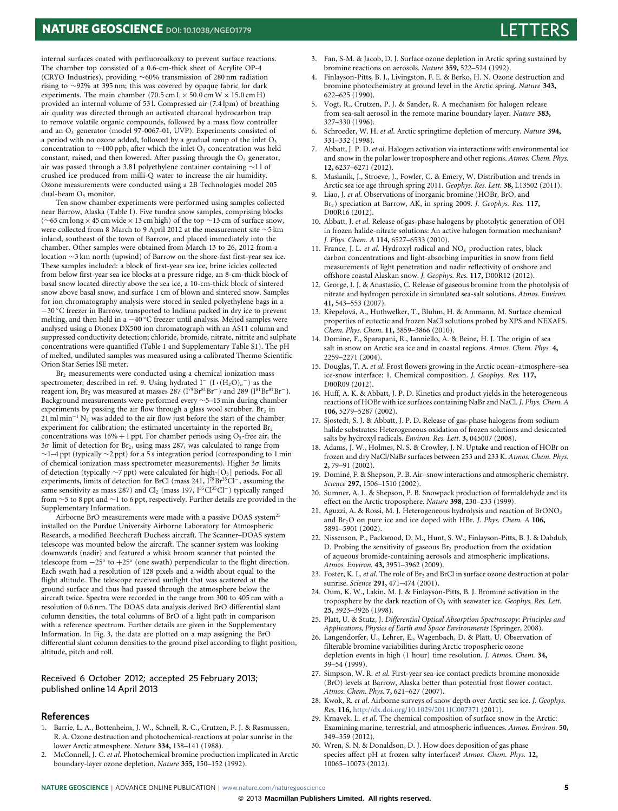# **NATURE GEOSCIENCE** DOI: 10.1038/NGE01779



internal surfaces coated with perfluoroalkoxy to prevent surface reactions. The chamber top consisted of a 0.6-cm-thick sheet of Acrylite OP-4 (CRYO Industries), providing ∼60% transmission of 280 nm radiation rising to ∼92% at 395 nm; this was covered by opaque fabric for dark experiments. The main chamber (70.5 cm L  $\times$  50.0 cm W  $\times$  15.0 cm H) provided an internal volume of 53 l. Compressed air (7.4 lpm) of breathing air quality was directed through an activated charcoal hydrocarbon trap to remove volatile organic compounds, followed by a mass flow controller and an O<sub>3</sub> generator (model 97-0067-01, UVP). Experiments consisted of a period with no ozone added, followed by a gradual ramp of the inlet O<sub>3</sub> concentration to ~100 ppb, after which the inlet  $O_3$  concentration was held constant, raised, and then lowered. After passing through the  $O<sub>3</sub>$  generator, air was passed through a 3.8 l polyethylene container containing ∼1 l of crushed ice produced from milli-Q water to increase the air humidity. Ozone measurements were conducted using a 2B Technologies model 205 dual-beam O<sub>3</sub> monitor.

Ten snow chamber experiments were performed using samples collected near Barrow, Alaska [\(Table 1\)](#page-1-0). Five tundra snow samples, comprising blocks (∼65 cm long×45 cm wide×13 cm high) of the top ∼13 cm of surface snow, were collected from 8 March to 9 April 2012 at the measurement site ∼5 km inland, southeast of the town of Barrow, and placed immediately into the chamber. Other samples were obtained from March 13 to 26, 2012 from a location ∼3 km north (upwind) of Barrow on the shore-fast first-year sea ice. These samples included: a block of first-year sea ice, brine icicles collected from below first-year sea ice blocks at a pressure ridge, an 8-cm-thick block of basal snow located directly above the sea ice, a 10-cm-thick block of sintered snow above basal snow, and surface 1 cm of blown and sintered snow. Samples for ion chromatography analysis were stored in sealed polyethylene bags in a −30 ◦C freezer in Barrow, transported to Indiana packed in dry ice to prevent melting, and then held in a  $-40^{\circ}$ C freezer until analysis. Melted samples were analysed using a Dionex DX500 ion chromatograph with an AS11 column and suppressed conductivity detection; chloride, bromide, nitrate, nitrite and sulphate concentrations were quantified [\(Table 1](#page-1-0) and Supplementary Table S1). The pH of melted, undiluted samples was measured using a calibrated Thermo Scientific Orion Star Series ISE meter.

Br<sub>2</sub> measurements were conducted using a chemical ionization mass spectrometer, described in ref. [9.](#page-4-6) Using hydrated I<sup>−</sup> (I⋅(H<sub>2</sub>O)<sub>n</sub><sup>−</sup>) as the reagent ion, Br<sub>2</sub> was measured at masses 287 (I<sup>79</sup>Br<sup>81</sup>Br<sup>−</sup>) and 289 (I<sup>81</sup>Br<sup>81</sup>Br<sup>−</sup>). Background measurements were performed every ∼5–15 min during chamber experiments by passing the air flow through a glass wool scrubber.  $Br<sub>2</sub>$  in 21 ml min<sup>-1</sup> N<sub>2</sub> was added to the air flow just before the start of the chamber experiment for calibration; the estimated uncertainty in the reported Br<sub>2</sub> concentrations was  $16\% + 1$  ppt. For chamber periods using  $O_3$ -free air, the  $3\sigma$  limit of detection for Br<sub>2</sub>, using mass 287, was calculated to range from  $\sim$ 1–4 ppt (typically  $\sim$ 2 ppt) for a 5 s integration period (corresponding to 1 min of chemical ionization mass spectrometer measurements). Higher  $3\sigma$  limits of detection (typically ∼7 ppt) were calculated for high-[O3] periods. For all experiments, limits of detection for BrCl (mass 241, I<sup>79</sup>Br<sup>35</sup>Cl<sup>−</sup>, assuming the same sensitivity as mass 287) and Cl<sub>2</sub> (mass 197, I<sup>35</sup>Cl<sup>35</sup>Cl<sup>−</sup>) typically ranged from ∼5 to 8 ppt and ∼1 to 6 ppt, respectively. Further details are provided in the Supplementary Information.

Airborne BrO measurements were made with a passive DOAS system<sup>21</sup> installed on the Purdue University Airborne Laboratory for Atmospheric Research, a modified Beechcraft Duchess aircraft. The Scanner–DOAS system telescope was mounted below the aircraft. The scanner system was looking downwards (nadir) and featured a whisk broom scanner that pointed the telescope from −25◦ to +25◦ (one swath) perpendicular to the flight direction. Each swath had a resolution of 128 pixels and a width about equal to the flight altitude. The telescope received sunlight that was scattered at the ground surface and thus had passed through the atmosphere below the aircraft twice. Spectra were recorded in the range from 300 to 405 nm with a resolution of 0.6 nm. The DOAS data analysis derived BrO differential slant column densities, the total columns of BrO of a light path in comparison with a reference spectrum. Further details are given in the Supplementary Information. In [Fig. 3,](#page-3-0) the data are plotted on a map assigning the BrO differential slant column densities to the ground pixel according to flight position, altitude, pitch and roll.

### Received 6 October 2012; accepted 25 February 2013; published online 14 April 2013

### **References**

- <span id="page-4-0"></span>1. Barrie, L. A., Bottenheim, J. W., Schnell, R. C., Crutzen, P. J. & Rasmussen, R. A. Ozone destruction and photochemical-reactions at polar sunrise in the lower Arctic atmosphere. *Nature* **334,** 138–141 (1988).
- <span id="page-4-1"></span>2. McConnell, J. C. *et al*. Photochemical bromine production implicated in Arctic boundary-layer ozone depletion. *Nature* **355,** 150–152 (1992).
- <span id="page-4-17"></span>3. Fan, S-M. & Jacob, D. J. Surface ozone depletion in Arctic spring sustained by bromine reactions on aerosols. *Nature* **359,** 522–524 (1992).
- 4. Finlayson-Pitts, B. J., Livingston, F. E. & Berko, H. N. Ozone destruction and bromine photochemistry at ground level in the Arctic spring. *Nature* **343,** 622–625 (1990).
- <span id="page-4-2"></span>5. Vogt, R., Crutzen, P. J. & Sander, R. A mechanism for halogen release from sea-salt aerosol in the remote marine boundary layer. *Nature* **383,** 327–330 (1996).
- <span id="page-4-3"></span>6. Schroeder, W. H. *et al*. Arctic springtime depletion of mercury. *Nature* **394,** 331–332 (1998).
- <span id="page-4-4"></span>7. Abbatt, J. P. D. *et al*. Halogen activation via interactions with environmental ice and snow in the polar lower troposphere and other regions. *Atmos. Chem. Phys.* **12,** 6237–6271 (2012).
- <span id="page-4-5"></span>8. Maslanik, J., Stroeve, J., Fowler, C. & Emery, W. Distribution and trends in Arctic sea ice age through spring 2011. *Geophys. Res. Lett.* **38,** L13502 (2011).
- <span id="page-4-6"></span>9. Liao, J. *et al*. Observations of inorganic bromine (HOBr, BrO, and Br2) speciation at Barrow, AK, in spring 2009. *J. Geophys. Res.* **117,** D00R16 (2012).
- <span id="page-4-7"></span>10. Abbatt, J. *et al*. Release of gas-phase halogens by photolytic generation of OH in frozen halide-nitrate solutions: An active halogen formation mechanism? *J. Phys. Chem. A* **114,** 6527–6533 (2010).
- <span id="page-4-8"></span>11. France, J. L. *et al*. Hydroxyl radical and NO*<sup>x</sup>* production rates, black carbon concentrations and light-absorbing impurities in snow from field measurements of light penetration and nadir reflectivity of onshore and offshore coastal Alaskan snow. *J. Geophys. Res.* **117,** D00R12 (2012).
- <span id="page-4-9"></span>12. George, I. J. & Anastasio, C. Release of gaseous bromine from the photolysis of nitrate and hydrogen peroxide in simulated sea-salt solutions. *Atmos. Environ.* **41,** 543–553 (2007).
- <span id="page-4-10"></span>13. Křepelová, A., Huthwelker, T., Bluhm, H. & Ammann, M. Surface chemical properties of eutectic and frozen NaCl solutions probed by XPS and NEXAFS. *Chem. Phys. Chem.* **11,** 3859–3866 (2010).
- <span id="page-4-11"></span>14. Domine, F., Sparapani, R., Ianniello, A. & Beine, H. J. The origin of sea salt in snow on Arctic sea ice and in coastal regions. *Atmos. Chem. Phys.* **4,** 2259–2271 (2004).
- <span id="page-4-12"></span>15. Douglas, T. A. *et al*. Frost flowers growing in the Arctic ocean–atmosphere–sea ice-snow interface: 1. Chemical composition. *J. Geophys. Res.* **117,** D00R09 (2012).
- <span id="page-4-13"></span>16. Huff, A. K. & Abbatt, J. P. D. Kinetics and product yields in the heterogeneous reactions of HOBr with ice surfaces containing NaBr and NaCl. *J. Phys. Chem. A* **106,** 5279–5287 (2002).
- <span id="page-4-14"></span>17. Sjostedt, S. J. & Abbatt, J. P. D. Release of gas-phase halogens from sodium halide substrates: Heterogeneous oxidation of frozen solutions and desiccated salts by hydroxyl radicals. *Environ. Res. Lett.* **3,** 045007 (2008).
- <span id="page-4-15"></span>18. Adams, J. W., Holmes, N. S. & Crowley, J. N. Uptake and reaction of HOBr on frozen and dry NaCl/NaBr surfaces between 253 and 233 K. *Atmos. Chem. Phys.* **2,** 79–91 (2002).
- <span id="page-4-18"></span>19. Dominé, F. & Shepson, P. B. Air–snow interactions and atmospheric chemistry. *Science* **297,** 1506–1510 (2002).
- <span id="page-4-19"></span>20. Sumner, A. L. & Shepson, P. B. Snowpack production of formaldehyde and its effect on the Arctic troposphere. *Nature* **398,** 230–233 (1999).
- <span id="page-4-16"></span>21. Aguzzi, A. & Rossi, M. J. Heterogeneous hydrolysis and reaction of BrONO<sub>2</sub> and Br2O on pure ice and ice doped with HBr. *J. Phys. Chem. A* **106,** 5891–5901 (2002).
- <span id="page-4-20"></span>22. Nissenson, P., Packwood, D. M., Hunt, S. W., Finlayson-Pitts, B. J. & Dabdub, D. Probing the sensitivity of gaseous  $Br<sub>2</sub>$  production from the oxidation of aqueous bromide-containing aerosols and atmospheric implications. *Atmos. Environ.* **43,** 3951–3962 (2009).
- <span id="page-4-21"></span>23. Foster, K. L. *et al*. The role of Br<sub>2</sub> and BrCl in surface ozone destruction at polar sunrise. *Science* **291,** 471–474 (2001).
- <span id="page-4-22"></span>24. Oum, K. W., Lakin, M. J. & Finlayson-Pitts, B. J. Bromine activation in the troposphere by the dark reaction of  $O<sub>3</sub>$  with seawater ice. *Geophys. Res. Lett.* **25,** 3923–3926 (1998).
- <span id="page-4-23"></span>25. Platt, U. & Stutz, J. *Differential Optical Absorption Spectroscopy: Principles and Applications, Physics of Earth and Space Environments* (Springer, 2008).
- <span id="page-4-24"></span>26. Langendorfer, U., Lehrer, E., Wagenbach, D. & Platt, U. Observation of filterable bromine variabilities during Arctic tropospheric ozone depletion events in high (1 hour) time resolution. *J. Atmos. Chem.* **34,** 39–54 (1999).
- <span id="page-4-25"></span>27. Simpson, W. R. *et al*. First-year sea-ice contact predicts bromine monoxide (BrO) levels at Barrow, Alaska better than potential frost flower contact. *Atmos. Chem. Phys.* **7,** 621–627 (2007).
- <span id="page-4-26"></span>28. Kwok, R. *et al*. Airborne surveys of snow depth over Arctic sea ice. *J. Geophys. Res.* **116,** <http://dx.doi.org/10.1029/2011JC007371> (2011).
- <span id="page-4-27"></span>29. Krnavek, L. *et al*. The chemical composition of surface snow in the Arctic: Examining marine, terrestrial, and atmospheric influences. *Atmos. Environ.* **50,** 349–359 (2012).
- <span id="page-4-28"></span>30. Wren, S. N. & Donaldson, D. J. How does deposition of gas phase species affect pH at frozen salty interfaces? *Atmos. Chem. Phys.* **12,** 10065–10073 (2012).